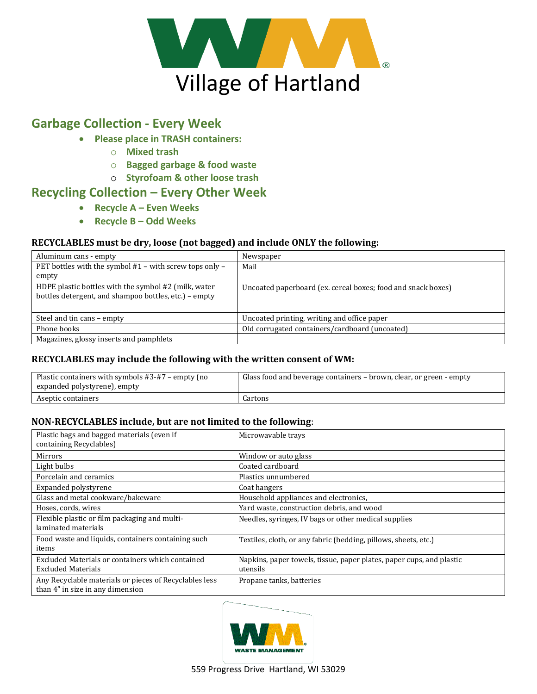

## **Garbage Collection - Every Week**

- **Please place in TRASH containers:**
	- o **Mixed trash**
	- o **Bagged garbage & food waste**
	- o **Styrofoam & other loose trash**

### **Recycling Collection – Every Other Week**

- **Recycle A – Even Weeks**
- **Recycle B – Odd Weeks**

#### **RECYCLABLES must be dry, loose (not bagged) and include ONLY the following:**

| Aluminum cans - empty                                                                                         | Newspaper                                                    |
|---------------------------------------------------------------------------------------------------------------|--------------------------------------------------------------|
| PET bottles with the symbol #1 - with screw tops only -                                                       | Mail                                                         |
| empty                                                                                                         |                                                              |
| HDPE plastic bottles with the symbol #2 (milk, water<br>bottles detergent, and shampoo bottles, etc.) – empty | Uncoated paperboard (ex. cereal boxes; food and snack boxes) |
| Steel and tin cans – empty                                                                                    | Uncoated printing, writing and office paper                  |
| Phone books                                                                                                   | Old corrugated containers/cardboard (uncoated)               |
| Magazines, glossy inserts and pamphlets                                                                       |                                                              |

#### **RECYCLABLES may include the following with the written consent of WM:**

| Plastic containers with symbols #3-#7 – empty (no<br>expanded polystyrene), empty | Glass food and beverage containers - brown, clear, or green - empty |
|-----------------------------------------------------------------------------------|---------------------------------------------------------------------|
| Aseptic containers                                                                | Cartons                                                             |

#### **NON-RECYCLABLES include, but are not limited to the following**:

| Plastic bags and bagged materials (even if<br>containing Recyclables)                      | Microwayable trays                                                               |
|--------------------------------------------------------------------------------------------|----------------------------------------------------------------------------------|
| <b>Mirrors</b>                                                                             | Window or auto glass                                                             |
| Light bulbs                                                                                | Coated cardboard                                                                 |
| Porcelain and ceramics                                                                     | Plastics unnumbered                                                              |
| Expanded polystyrene                                                                       | Coat hangers                                                                     |
| Glass and metal cookware/bakeware                                                          | Household appliances and electronics,                                            |
| Hoses, cords, wires                                                                        | Yard waste, construction debris, and wood                                        |
| Flexible plastic or film packaging and multi-                                              | Needles, syringes, IV bags or other medical supplies                             |
| laminated materials                                                                        |                                                                                  |
| Food waste and liquids, containers containing such<br>items                                | Textiles, cloth, or any fabric (bedding, pillows, sheets, etc.)                  |
| Excluded Materials or containers which contained<br><b>Excluded Materials</b>              | Napkins, paper towels, tissue, paper plates, paper cups, and plastic<br>utensils |
| Any Recyclable materials or pieces of Recyclables less<br>than 4" in size in any dimension | Propane tanks, batteries                                                         |

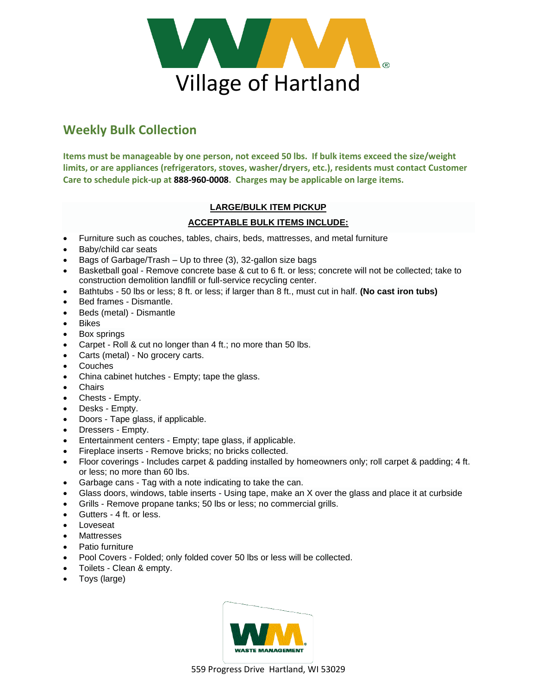

# **Weekly Bulk Collection**

**Items must be manageable by one person, not exceed 50 lbs. If bulk items exceed the size/weight limits, or are appliances (refrigerators, stoves, washer/dryers, etc.), residents must contact Customer Care to schedule pick-up at 888-960-0008. Charges may be applicable on large items.**

#### **LARGE/BULK ITEM PICKUP**

#### **ACCEPTABLE BULK ITEMS INCLUDE:**

- Furniture such as couches, tables, chairs, beds, mattresses, and metal furniture
- Baby/child car seats
- Bags of Garbage/Trash Up to three (3), 32-gallon size bags
- Basketball goal Remove concrete base & cut to 6 ft. or less; concrete will not be collected; take to construction demolition landfill or full-service recycling center.
- Bathtubs 50 lbs or less; 8 ft. or less; if larger than 8 ft., must cut in half. **(No cast iron tubs)**
- Bed frames Dismantle.
- Beds (metal) Dismantle
- Bikes
- Box springs
- Carpet Roll & cut no longer than 4 ft.; no more than 50 lbs.
- Carts (metal) No grocery carts.
- **Couches**
- China cabinet hutches Empty; tape the glass.
- **Chairs**
- Chests Empty.
- Desks Empty.
- Doors Tape glass, if applicable.
- Dressers Empty.
- Entertainment centers Empty; tape glass, if applicable.
- Fireplace inserts Remove bricks; no bricks collected.
- Floor coverings Includes carpet & padding installed by homeowners only; roll carpet & padding; 4 ft. or less; no more than 60 lbs.
- Garbage cans Tag with a note indicating to take the can.
- Glass doors, windows, table inserts Using tape, make an X over the glass and place it at curbside
- Grills Remove propane tanks; 50 lbs or less; no commercial grills.
- Gutters 4 ft. or less.
- **Loveseat**
- **Mattresses**
- Patio furniture
- Pool Covers Folded; only folded cover 50 lbs or less will be collected.
- Toilets Clean & empty.
- Toys (large)